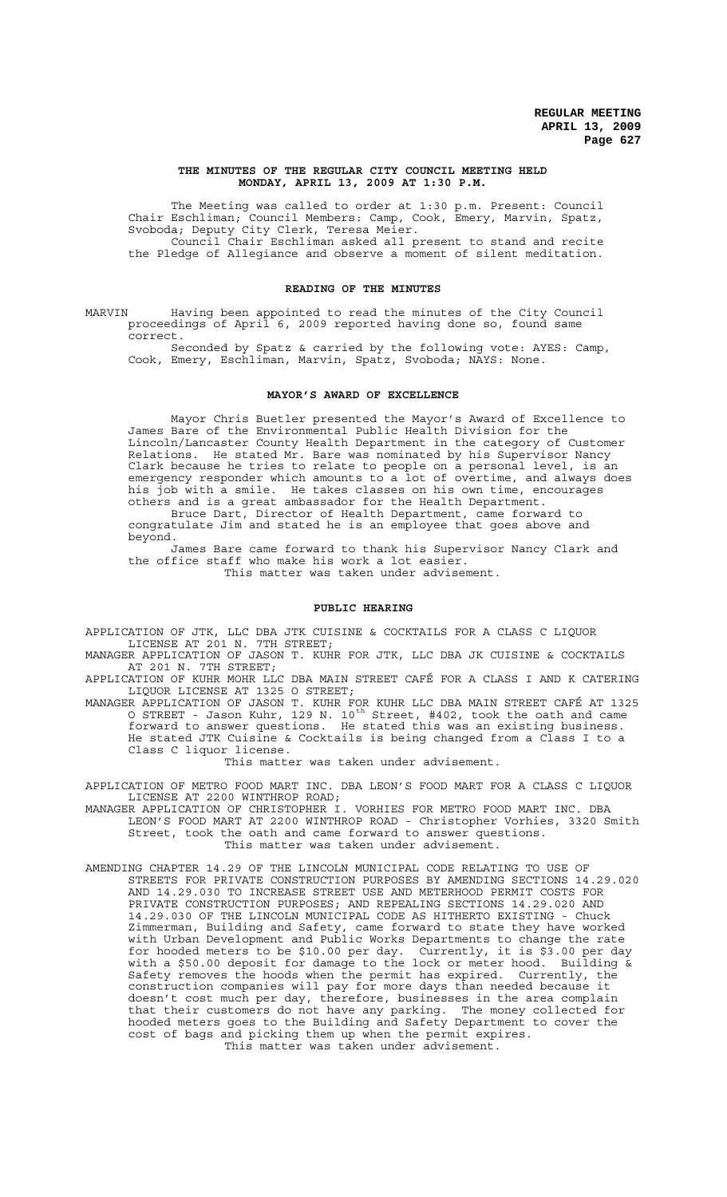#### **THE MINUTES OF THE REGULAR CITY COUNCIL MEETING HELD MONDAY, APRIL 13, 2009 AT 1:30 P.M.**

The Meeting was called to order at 1:30 p.m. Present: Council Chair Eschliman; Council Members: Camp, Cook, Emery, Marvin, Spatz, Svoboda; Deputy City Clerk, Teresa Meier. Council Chair Eschliman asked all present to stand and recite

the Pledge of Allegiance and observe a moment of silent meditation.

# **READING OF THE MINUTES**

MARVIN Having been appointed to read the minutes of the City Council proceedings of April 6, 2009 reported having done so, found same correct.

Seconded by Spatz & carried by the following vote: AYES: Camp, Cook, Emery, Eschliman, Marvin, Spatz, Svoboda; NAYS: None.

# **MAYOR'S AWARD OF EXCELLENCE**

Mayor Chris Buetler presented the Mayor's Award of Excellence to James Bare of the Environmental Public Health Division for the Lincoln/Lancaster County Health Department in the category of Customer Relations. He stated Mr. Bare was nominated by his Supervisor Nancy Clark because he tries to relate to people on a personal level, is an emergency responder which amounts to a lot of overtime, and always does his job with a smile. He takes classes on his own time, encourages others and is a great ambassador for the Health Department. Bruce Dart, Director of Health Department, came forward to congratulate Jim and stated he is an employee that goes above and beyond.

James Bare came forward to thank his Supervisor Nancy Clark and the office staff who make his work a lot easier. This matter was taken under advisement.

#### **PUBLIC HEARING**

APPLICATION OF JTK, LLC DBA JTK CUISINE & COCKTAILS FOR A CLASS C LIQUOR LICENSE AT 201 N. 7TH STREET;

MANAGER APPLICATION OF JASON T. KUHR FOR JTK, LLC DBA JK CUISINE & COCKTAILS AT 201 N. 7TH STREET;

APPLICATION OF KUHR MOHR LLC DBA MAIN STREET CAFÉ FOR A CLASS I AND K CATERING LIQUOR LICENSE AT 1325 O STREET;

MANAGER APPLICATION OF JASON T. KUHR FOR KUHR LLC DBA MAIN STREET CAFÉ AT 1325 O STREET - Jason Kuhr, 129 N.  $10^{\,\rm th}$  Street, #402, took the oath and came forward to answer questions. He stated this was an existing business. He stated JTK Cuisine & Cocktails is being changed from a Class I to a Class C liquor license.

This matter was taken under advisement.

APPLICATION OF METRO FOOD MART INC. DBA LEON'S FOOD MART FOR A CLASS C LIQUOR LICENSE AT 2200 WINTHROP ROAD;

MANAGER APPLICATION OF CHRISTOPHER I. VORHIES FOR METRO FOOD MART INC. DBA LEON'S FOOD MART AT 2200 WINTHROP ROAD - Christopher Vorhies, 3320 Smith Street, took the oath and came forward to answer questions. This matter was taken under advisement.

AMENDING CHAPTER 14.29 OF THE LINCOLN MUNICIPAL CODE RELATING TO USE OF STREETS FOR PRIVATE CONSTRUCTION PURPOSES BY AMENDING SECTIONS 14.29.020 AND 14.29.030 TO INCREASE STREET USE AND METERHOOD PERMIT COSTS FOR PRIVATE CONSTRUCTION PURPOSES; AND REPEALING SECTIONS 14.29.020 AND 14.29.030 OF THE LINCOLN MUNICIPAL CODE AS HITHERTO EXISTING - Chuck Zimmerman, Building and Safety, came forward to state they have worked with Urban Development and Public Works Departments to change the rate for hooded meters to be \$10.00 per day. Currently, it is \$3.00 per day with a \$50.00 deposit for damage to the lock or meter hood. Building & Safety removes the hoods when the permit has expired. Currently, the construction companies will pay for more days than needed because it doesn't cost much per day, therefore, businesses in the area complain that their customers do not have any parking. The money collected for hooded meters goes to the Building and Safety Department to cover the cost of bags and picking them up when the permit expires. This matter was taken under advisement.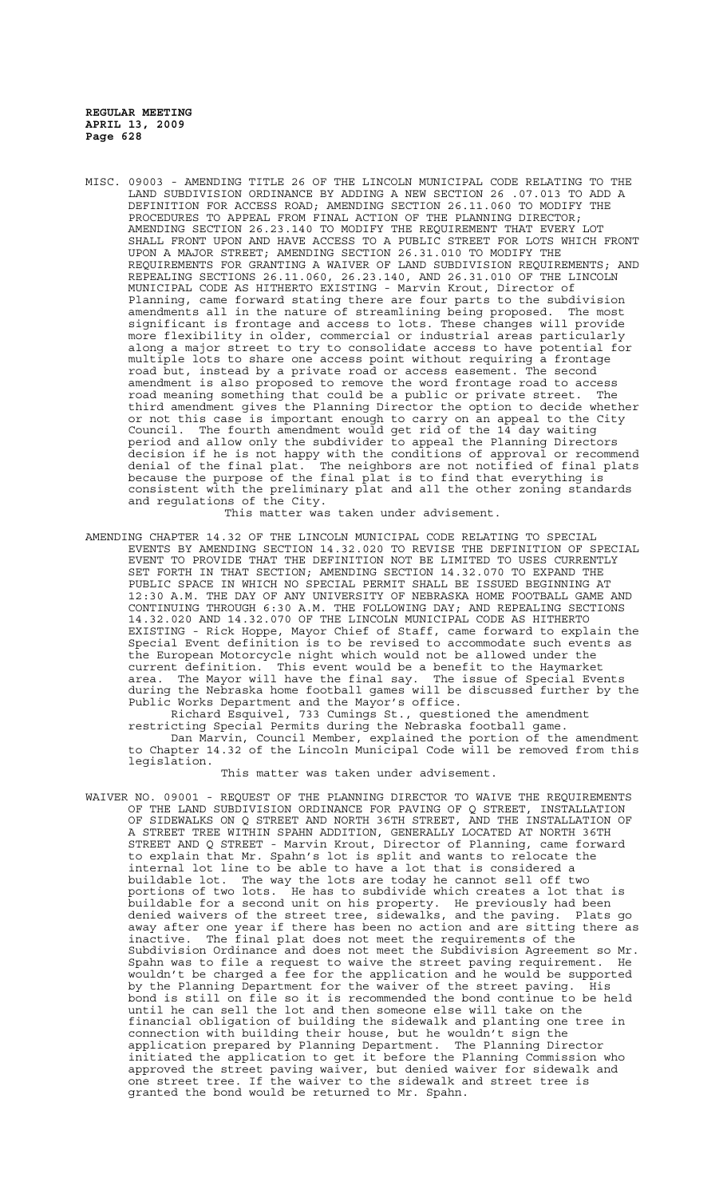MISC. 09003 - AMENDING TITLE 26 OF THE LINCOLN MUNICIPAL CODE RELATING TO THE LAND SUBDIVISION ORDINANCE BY ADDING A NEW SECTION 26 .07.013 TO ADD A DEFINITION FOR ACCESS ROAD; AMENDING SECTION 26.11.060 TO MODIFY THE PROCEDURES TO APPEAL FROM FINAL ACTION OF THE PLANNING DIRECTOR; AMENDING SECTION 26.23.140 TO MODIFY THE REQUIREMENT THAT EVERY LOT SHALL FRONT UPON AND HAVE ACCESS TO A PUBLIC STREET FOR LOTS WHICH FRONT UPON A MAJOR STREET; AMENDING SECTION 26.31.010 TO MODIFY THE REQUIREMENTS FOR GRANTING A WAIVER OF LAND SUBDIVISION REQUIREMENTS; AND REPEALING SECTIONS 26.11.060, 26.23.140, AND 26.31.010 OF THE LINCOLN MUNICIPAL CODE AS HITHERTO EXISTING - Marvin Krout, Director of Planning, came forward stating there are four parts to the subdivision amendments all in the nature of streamlining being proposed. The most significant is frontage and access to lots. These changes will provide more flexibility in older, commercial or industrial areas particularly along a major street to try to consolidate access to have potential for multiple lots to share one access point without requiring a frontage road but, instead by a private road or access easement. The second amendment is also proposed to remove the word frontage road to access road meaning something that could be a public or private street. The third amendment gives the Planning Director the option to decide whether or not this case is important enough to carry on an appeal to the City Council. The fourth amendment would get rid of the 14 day waiting period and allow only the subdivider to appeal the Planning Directors decision if he is not happy with the conditions of approval or recommend denial of the final plat. The neighbors are not notified of final plats because the purpose of the final plat is to find that everything is consistent with the preliminary plat and all the other zoning standards and regulations of the City.

This matter was taken under advisement.

AMENDING CHAPTER 14.32 OF THE LINCOLN MUNICIPAL CODE RELATING TO SPECIAL EVENTS BY AMENDING SECTION 14.32.020 TO REVISE THE DEFINITION OF SPECIAL EVENT TO PROVIDE THAT THE DEFINITION NOT BE LIMITED TO USES CURRENTLY SET FORTH IN THAT SECTION; AMENDING SECTION 14.32.070 TO EXPAND THE PUBLIC SPACE IN WHICH NO SPECIAL PERMIT SHALL BE ISSUED BEGINNING AT 12:30 A.M. THE DAY OF ANY UNIVERSITY OF NEBRASKA HOME FOOTBALL GAME AND CONTINUING THROUGH 6:30 A.M. THE FOLLOWING DAY; AND REPEALING SECTIONS 14.32.020 AND 14.32.070 OF THE LINCOLN MUNICIPAL CODE AS HITHERTO EXISTING - Rick Hoppe, Mayor Chief of Staff, came forward to explain the Special Event definition is to be revised to accommodate such events as the European Motorcycle night which would not be allowed under the current definition. This event would be a benefit to the Haymarke current definition. This event would be a benefit to the Haymarket<br>I have the final say. The issue of Special Events area. The Mayor will have the final say. The issue of Special Events during the Nebraska home football games will be discussed further by the Public Works Department and the Mayor's office.

Richard Esquivel, 733 Cumings St., questioned the amendment restricting Special Permits during the Nebraska football game. Dan Marvin, Council Member, explained the portion of the amendment to Chapter 14.32 of the Lincoln Municipal Code will be removed from this legislation.

This matter was taken under advisement.

WAIVER NO. 09001 - REQUEST OF THE PLANNING DIRECTOR TO WAIVE THE REQUIREMENTS OF THE LAND SUBDIVISION ORDINANCE FOR PAVING OF Q STREET, INSTALLATION OF SIDEWALKS ON Q STREET AND NORTH 36TH STREET, AND THE INSTALLATION OF A STREET TREE WITHIN SPAHN ADDITION, GENERALLY LOCATED AT NORTH 36TH STREET AND Q STREET - Marvin Krout, Director of Planning, came forward to explain that Mr. Spahn's lot is split and wants to relocate the internal lot line to be able to have a lot that is considered a buildable lot. The way the lots are today he cannot sell off two portions of two lots. He has to subdivide which creates a lot that is buildable for a second unit on his property. He previously had been denied waivers of the street tree, sidewalks, and the paving. Plats go away after one year if there has been no action and are sitting there as inactive. The final plat does not meet the requirements of the Subdivision Ordinance and does not meet the Subdivision Agreement so Mr. Spahn was to file a request to waive the street paving requirement. He wouldn't be charged a fee for the application and he would be supported by the Planning Department for the waiver of the street paving. His bond is still on file so it is recommended the bond continue to be held until he can sell the lot and then someone else will take on the financial obligation of building the sidewalk and planting one tree in connection with building their house, but he wouldn't sign the application prepared by Planning Department. The Planning Director initiated the application to get it before the Planning Commission who approved the street paving waiver, but denied waiver for sidewalk and one street tree. If the waiver to the sidewalk and street tree is granted the bond would be returned to Mr. Spahn.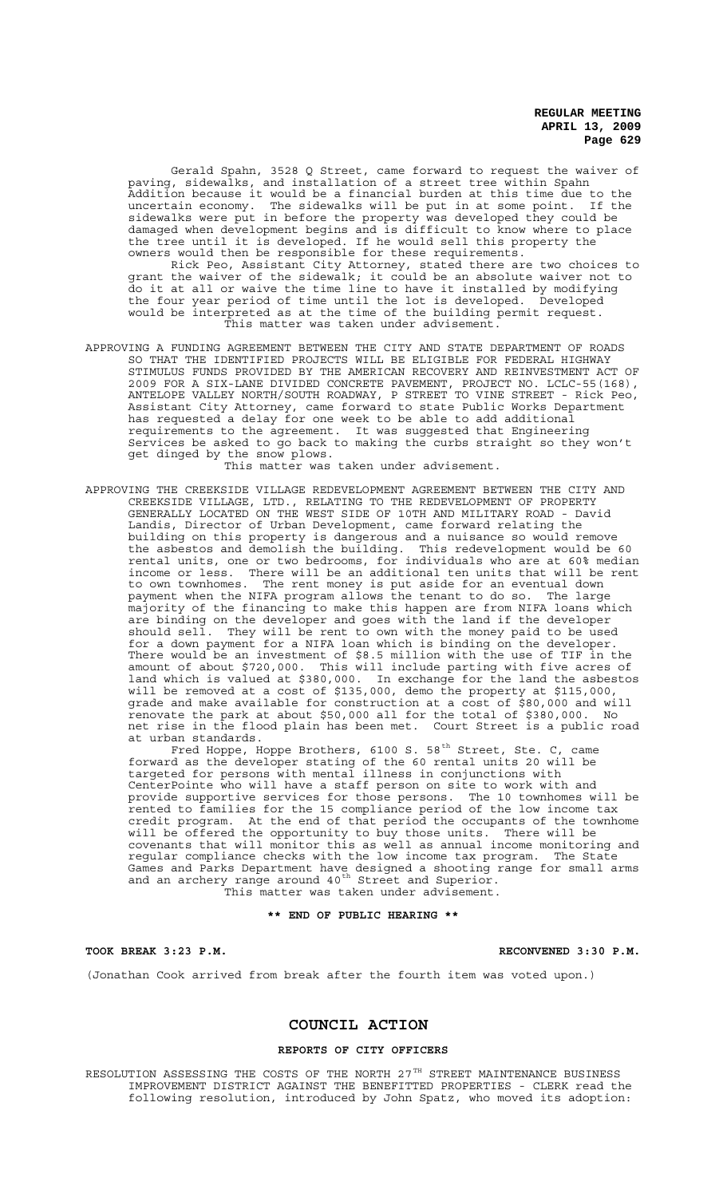Gerald Spahn, 3528 Q Street, came forward to request the waiver of paving, sidewalks, and installation of a street tree within Spahn Addition because it would be a financial burden at this time due to the uncertain economy. The sidewalks will be put in at some point. If the sidewalks were put in before the property was developed they could be damaged when development begins and is difficult to know where to place the tree until it is developed. If he would sell this property the owners would then be responsible for these requirements.

Rick Peo, Assistant City Attorney, stated there are two choices to grant the waiver of the sidewalk; it could be an absolute waiver not to do it at all or waive the time line to have it installed by modifying the four year period of time until the lot is developed. Developed would be interpreted as at the time of the building permit request. This matter was taken under advisement.

APPROVING A FUNDING AGREEMENT BETWEEN THE CITY AND STATE DEPARTMENT OF ROADS SO THAT THE IDENTIFIED PROJECTS WILL BE ELIGIBLE FOR FEDERAL HIGHWAY STIMULUS FUNDS PROVIDED BY THE AMERICAN RECOVERY AND REINVESTMENT ACT OF 2009 FOR A SIX-LANE DIVIDED CONCRETE PAVEMENT, PROJECT NO. LCLC-55(168), ANTELOPE VALLEY NORTH/SOUTH ROADWAY, P STREET TO VINE STREET - Rick Peo, Assistant City Attorney, came forward to state Public Works Department has requested a delay for one week to be able to add additional requirements to the agreement. It was suggested that Engineering Services be asked to go back to making the curbs straight so they won't get dinged by the snow plows.

This matter was taken under advisement.

APPROVING THE CREEKSIDE VILLAGE REDEVELOPMENT AGREEMENT BETWEEN THE CITY AND CREEKSIDE VILLAGE, LTD., RELATING TO THE REDEVELOPMENT OF PROPERTY GENERALLY LOCATED ON THE WEST SIDE OF 10TH AND MILITARY ROAD - David Landis, Director of Urban Development, came forward relating the building on this property is dangerous and a nuisance so would remove the asbestos and demolish the building. This redevelopment would be 60 rental units, one or two bedrooms, for individuals who are at 60% median income or less. There will be an additional ten units that will be rent to own townhomes. The rent money is put aside for an eventual down payment when the NIFA program allows the tenant to do so. The large majority of the financing to make this happen are from NIFA loans which are binding on the developer and goes with the land if the developer should sell. They will be rent to own with the money paid to be used for a down payment for a NIFA loan which is binding on the developer. There would be an investment of \$8.5 million with the use of TIF in the amount of about \$720,000. This will include parting with five acres of land which is valued at \$380,000. In exchange for the land the asbestos will be removed at a cost of \$135,000, demo the property at \$115,000, grade and make available for construction at a cost of \$80,000 and will renovate the park at about \$50,000 all for the total of \$380,000. No net rise in the flood plain has been met. Court Street is a public road at urban standards.

Fred Hoppe, Hoppe Brothers, 6100 S. 58<sup>th</sup> Street, Ste. C, came forward as the developer stating of the 60 rental units 20 will be targeted for persons with mental illness in conjunctions with CenterPointe who will have a staff person on site to work with and provide supportive services for those persons. The 10 townhomes will be rented to families for the 15 compliance period of the low income tax credit program. At the end of that period the occupants of the townhome will be offered the opportunity to buy those units. There will be covenants that will monitor this as well as annual income monitoring and regular compliance checks with the low income tax program. The State Games and Parks Department have designed a shooting range for small arms and an archery range around  $40^{\text{th}}$  Street and Superior. This matter was taken under advisement.

# **\*\* END OF PUBLIC HEARING \*\***

**TOOK BREAK 3:23 P.M. RECONVENED 3:30 P.M.**

(Jonathan Cook arrived from break after the fourth item was voted upon.)

#### **COUNCIL ACTION**

# **REPORTS OF CITY OFFICERS**

RESOLUTION ASSESSING THE COSTS OF THE NORTH  $27^{TH}$  STREET MAINTENANCE BUSINESS IMPROVEMENT DISTRICT AGAINST THE BENEFITTED PROPERTIES - CLERK read the following resolution, introduced by John Spatz, who moved its adoption: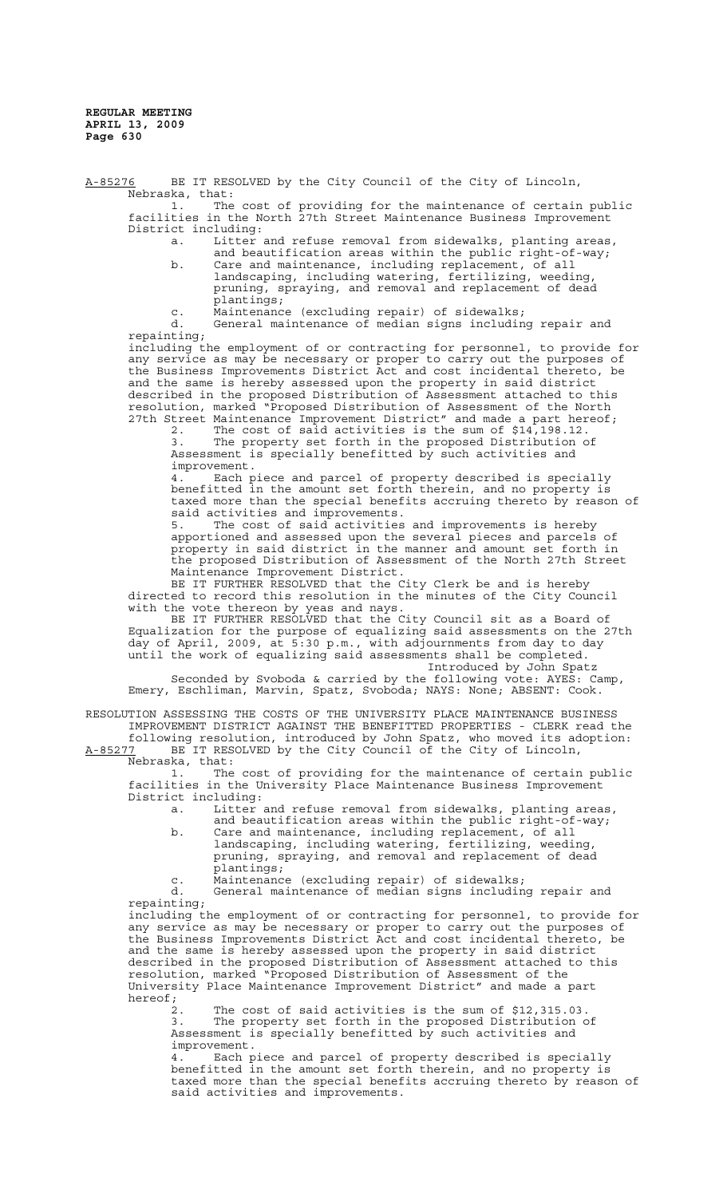A-85276 BE IT RESOLVED by the City Council of the City of Lincoln, Nebraska, that: 1. The cost of providing for the maintenance of certain public facilities in the North 27th Street Maintenance Business Improvement District including: a. Litter and refuse removal from sidewalks, planting areas, and beautification areas within the public right-of-way; b. Care and maintenance, including replacement, of all landscaping, including watering, fertilizing, weeding, pruning, spraying, and removal and replacement of dead plantings; c. Maintenance (excluding repair) of sidewalks; d. General maintenance of median signs including repair and repainting; including the employment of or contracting for personnel, to provide for any service as may be necessary or proper to carry out the purposes of the Business Improvements District Act and cost incidental thereto, be and the same is hereby assessed upon the property in said district described in the proposed Distribution of Assessment attached to this resolution, marked "Proposed Distribution of Assessment of the North

27th Street Maintenance Improvement District" and made a part hereof; 2. The cost of said activities is the sum of \$14,198.12. 3. The property set forth in the proposed Distribution of

Assessment is specially benefitted by such activities and improvement.

 4. Each piece and parcel of property described is specially benefitted in the amount set forth therein, and no property is taxed more than the special benefits accruing thereto by reason of said activities and improvements.

5. The cost of said activities and improvements is hereby apportioned and assessed upon the several pieces and parcels of property in said district in the manner and amount set forth in the proposed Distribution of Assessment of the North 27th Street Maintenance Improvement District.

BE IT FURTHER RESOLVED that the City Clerk be and is hereby directed to record this resolution in the minutes of the City Council with the vote thereon by yeas and nays.

BE IT FURTHER RESOLVED that the City Council sit as a Board of Equalization for the purpose of equalizing said assessments on the 27th day of April, 2009, at 5:30 p.m., with adjournments from day to day until the work of equalizing said assessments shall be completed. Introduced by John Spatz

Seconded by Svoboda & carried by the following vote: AYES: Camp, Emery, Eschliman, Marvin, Spatz, Svoboda; NAYS: None; ABSENT: Cook.

RESOLUTION ASSESSING THE COSTS OF THE UNIVERSITY PLACE MAINTENANCE BUSINESS IMPROVEMENT DISTRICT AGAINST THE BENEFITTED PROPERTIES - CLERK read the following resolution, introduced by John Spatz, who moved its adoption:<br>A-85277 BE IT RESOLVED by the City Council of the City of Lincoln. BE IT RESOLVED by the City Council of the City of Lincoln,

Nebraska, that:

1. The cost of providing for the maintenance of certain public facilities in the University Place Maintenance Business Improvement District including:

a. Litter and refuse removal from sidewalks, planting areas, and beautification areas within the public right-of-way;

- b. Care and maintenance, including replacement, of all landscaping, including watering, fertilizing, weeding, pruning, spraying, and removal and replacement of dead plantings;
- c. Maintenance (excluding repair) of sidewalks;

d. General maintenance of median signs including repair and repainting;

including the employment of or contracting for personnel, to provide for any service as may be necessary or proper to carry out the purposes of the Business Improvements District Act and cost incidental thereto, be and the same is hereby assessed upon the property in said district described in the proposed Distribution of Assessment attached to this resolution, marked "Proposed Distribution of Assessment of the University Place Maintenance Improvement District" and made a part hereof;

2. The cost of said activities is the sum of \$12,315.03. 3. The property set forth in the proposed Distribution of Assessment is specially benefitted by such activities and improvement.

 4. Each piece and parcel of property described is specially benefitted in the amount set forth therein, and no property is taxed more than the special benefits accruing thereto by reason of said activities and improvements.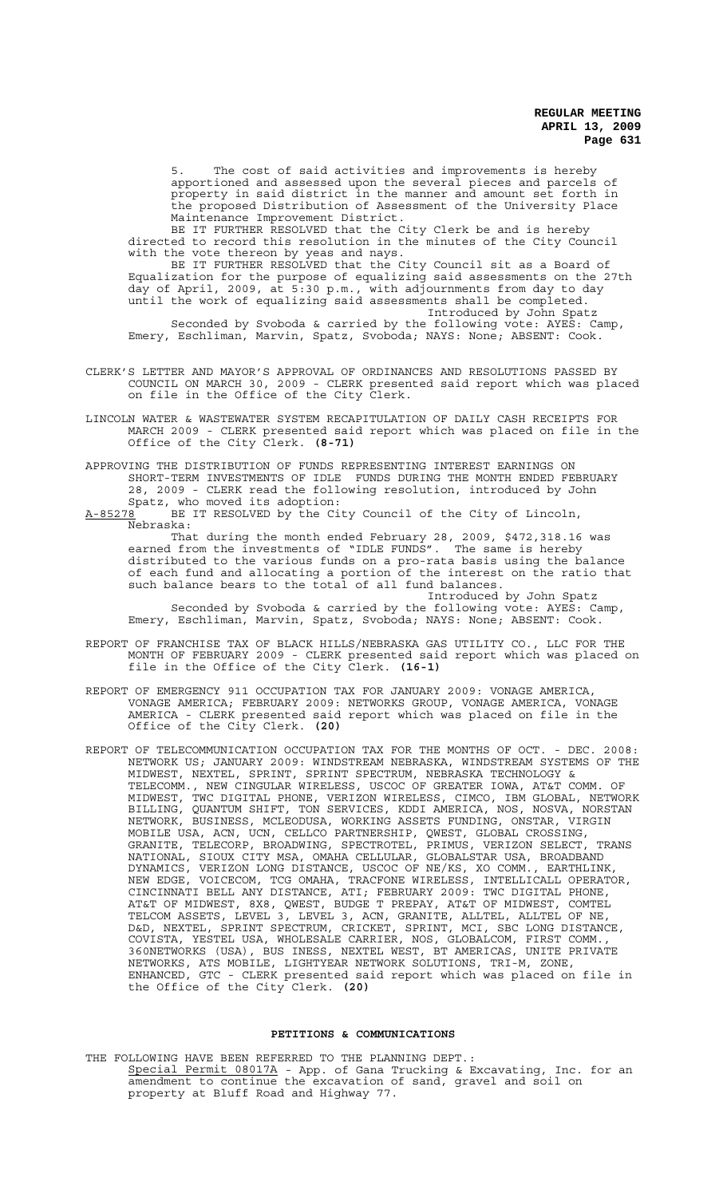The cost of said activities and improvements is hereby apportioned and assessed upon the several pieces and parcels of property in said district in the manner and amount set forth in the proposed Distribution of Assessment of the University Place Maintenance Improvement District.

BE IT FURTHER RESOLVED that the City Clerk be and is hereby directed to record this resolution in the minutes of the City Council with the vote thereon by yeas and nays.

BE IT FURTHER RESOLVED that the City Council sit as a Board of Equalization for the purpose of equalizing said assessments on the 27th day of April, 2009, at 5:30 p.m., with adjournments from day to day until the work of equalizing said assessments shall be completed. Introduced by John Spatz

Seconded by Svoboda & carried by the following vote: AYES: Camp, Emery, Eschliman, Marvin, Spatz, Svoboda; NAYS: None; ABSENT: Cook.

- CLERK'S LETTER AND MAYOR'S APPROVAL OF ORDINANCES AND RESOLUTIONS PASSED BY COUNCIL ON MARCH 30, 2009 - CLERK presented said report which was placed on file in the Office of the City Clerk.
- LINCOLN WATER & WASTEWATER SYSTEM RECAPITULATION OF DAILY CASH RECEIPTS FOR MARCH 2009 - CLERK presented said report which was placed on file in the Office of the City Clerk. **(8-71)**
- APPROVING THE DISTRIBUTION OF FUNDS REPRESENTING INTEREST EARNINGS ON SHORT-TERM INVESTMENTS OF IDLE FUNDS DURING THE MONTH ENDED FEBRUARY 28, 2009 - CLERK read the following resolution, introduced by John Spatz, who moved its adoption:

A-85278 BE IT RESOLVED by the City Council of the City of Lincoln, Nebraska:

That during the month ended February 28, 2009, \$472,318.16 was earned from the investments of "IDLE FUNDS". The same is hereby distributed to the various funds on a pro-rata basis using the balance of each fund and allocating a portion of the interest on the ratio that such balance bears to the total of all fund balances.

Introduced by John Spatz Seconded by Svoboda & carried by the following vote: AYES: Camp, Emery, Eschliman, Marvin, Spatz, Svoboda; NAYS: None; ABSENT: Cook.

- REPORT OF FRANCHISE TAX OF BLACK HILLS/NEBRASKA GAS UTILITY CO., LLC FOR THE MONTH OF FEBRUARY 2009 - CLERK presented said report which was placed on file in the Office of the City Clerk. **(16-1)**
- REPORT OF EMERGENCY 911 OCCUPATION TAX FOR JANUARY 2009: VONAGE AMERICA, VONAGE AMERICA; FEBRUARY 2009: NETWORKS GROUP, VONAGE AMERICA, VONAGE AMERICA - CLERK presented said report which was placed on file in the Office of the City Clerk. **(20)**
- REPORT OF TELECOMMUNICATION OCCUPATION TAX FOR THE MONTHS OF OCT. DEC. 2008: NETWORK US; JANUARY 2009: WINDSTREAM NEBRASKA, WINDSTREAM SYSTEMS OF THE MIDWEST, NEXTEL, SPRINT, SPRINT SPECTRUM, NEBRASKA TECHNOLOGY & TELECOMM., NEW CINGULAR WIRELESS, USCOC OF GREATER IOWA, AT&T COMM. OF MIDWEST, TWC DIGITAL PHONE, VERIZON WIRELESS, CIMCO, IBM GLOBAL, NETWORK BILLING, QUANTUM SHIFT, TON SERVICES, KDDI AMERICA, NOS, NOSVA, NORSTAN NETWORK, BUSINESS, MCLEODUSA, WORKING ASSETS FUNDING, ONSTAR, VIRGIN MOBILE USA, ACN, UCN, CELLCO PARTNERSHIP, QWEST, GLOBAL CROSSING, GRANITE, TELECORP, BROADWING, SPECTROTEL, PRIMUS, VERIZON SELECT, TRANS NATIONAL, SIOUX CITY MSA, OMAHA CELLULAR, GLOBALSTAR USA, BROADBAND DYNAMICS, VERIZON LONG DISTANCE, USCOC OF NE/KS, XO COMM., EARTHLINK, NEW EDGE, VOICECOM, TCG OMAHA, TRACFONE WIRELESS, INTELLICALL OPERATOR, CINCINNATI BELL ANY DISTANCE, ATI; FEBRUARY 2009: TWC DIGITAL PHONE, AT&T OF MIDWEST, 8X8, QWEST, BUDGE T PREPAY, AT&T OF MIDWEST, COMTEL TELCOM ASSETS, LEVEL 3, LEVEL 3, ACN, GRANITE, ALLTEL, ALLTEL OF NE, D&D, NEXTEL, SPRINT SPECTRUM, CRICKET, SPRINT, MCI, SBC LONG DISTANCE, COVISTA, YESTEL USA, WHOLESALE CARRIER, NOS, GLOBALCOM, FIRST COMM., 360NETWORKS (USA), BUS INESS, NEXTEL WEST, BT AMERICAS, UNITE PRIVATE NETWORKS, ATS MOBILE, LIGHTYEAR NETWORK SOLUTIONS, TRI-M, ZONE, ENHANCED, GTC - CLERK presented said report which was placed on file in the Office of the City Clerk. **(20)**

#### **PETITIONS & COMMUNICATIONS**

THE FOLLOWING HAVE BEEN REFERRED TO THE PLANNING DEPT.: Special Permit 08017A - App. of Gana Trucking & Excavating, Inc. for an amendment to continue the excavation of sand, gravel and soil on property at Bluff Road and Highway 77.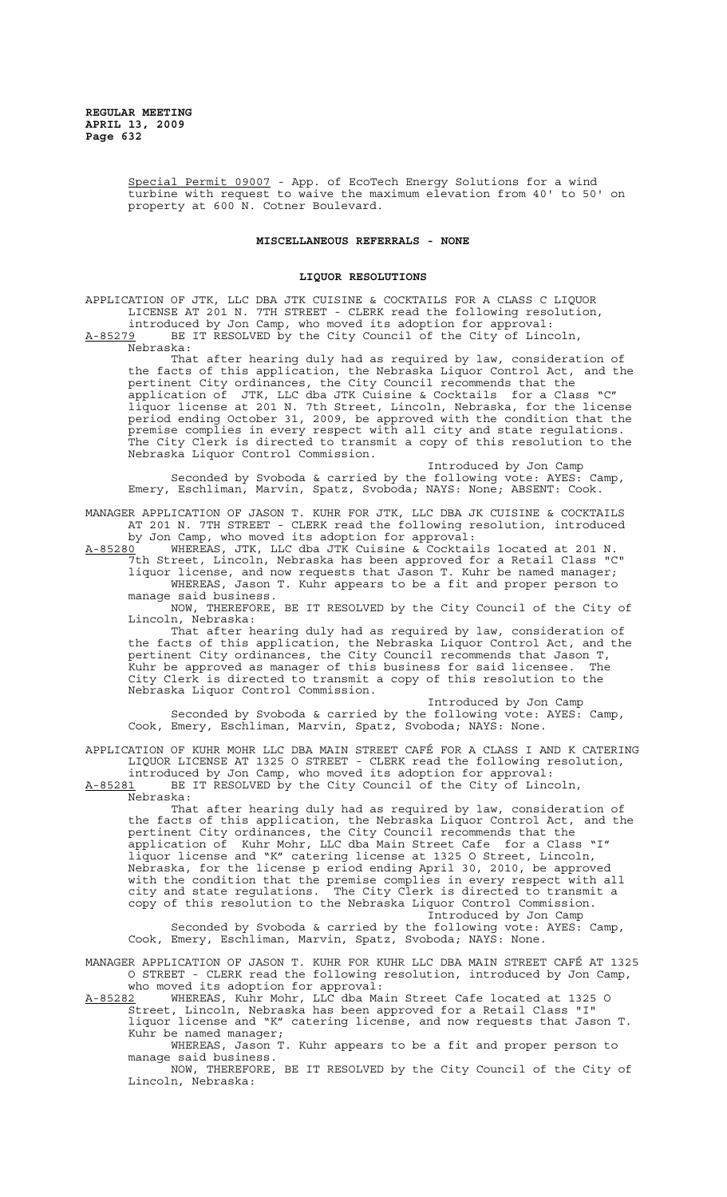Special Permit 09007 - App. of EcoTech Energy Solutions for a wind turbine with request to waive the maximum elevation from 40' to 50' on property at 600 N. Cotner Boulevard.

#### **MISCELLANEOUS REFERRALS - NONE**

#### **LIQUOR RESOLUTIONS**

APPLICATION OF JTK, LLC DBA JTK CUISINE & COCKTAILS FOR A CLASS C LIQUOR LICENSE AT 201 N. 7TH STREET - CLERK read the following resolution, introduced by Jon Camp, who moved its adoption for approval:

A-85279 BE IT RESOLVED by the City Council of the City of Lincoln, Nebraska:

That after hearing duly had as required by law, consideration of the facts of this application, the Nebraska Liquor Control Act, and the pertinent City ordinances, the City Council recommends that the application of JTK, LLC dba JTK Cuisine & Cocktails for a Class "C" liquor license at 201 N. 7th Street, Lincoln, Nebraska, for the license period ending October 31, 2009, be approved with the condition that the premise complies in every respect with all city and state regulations. The City Clerk is directed to transmit a copy of this resolution to the Nebraska Liquor Control Commission.

Introduced by Jon Camp Seconded by Svoboda & carried by the following vote: AYES: Camp, Emery, Eschliman, Marvin, Spatz, Svoboda; NAYS: None; ABSENT: Cook.

MANAGER APPLICATION OF JASON T. KUHR FOR JTK, LLC DBA JK CUISINE & COCKTAILS AT 201 N. 7TH STREET - CLERK read the following resolution, introduced by Jon Camp, who moved its adoption for approval:

 $A-85280$  WHEREAS, JTK, LLC dba JTK Cuisine & Cocktails located at 201 N. 7th Street, Lincoln, Nebraska has been approved for a Retail Class "C" liquor license, and now requests that Jason T. Kuhr be named manager; WHEREAS, Jason T. Kuhr appears to be a fit and proper person to

manage said business. NOW, THEREFORE, BE IT RESOLVED by the City Council of the City of Lincoln, Nebraska:

That after hearing duly had as required by law, consideration of the facts of this application, the Nebraska Liquor Control Act, and the pertinent City ordinances, the City Council recommends that Jason T, Kuhr be approved as manager of this business for said licensee. The City Clerk is directed to transmit a copy of this resolution to the Nebraska Liquor Control Commission.

Introduced by Jon Camp Seconded by Svoboda & carried by the following vote: AYES: Camp, Cook, Emery, Eschliman, Marvin, Spatz, Svoboda; NAYS: None.

APPLICATION OF KUHR MOHR LLC DBA MAIN STREET CAFÉ FOR A CLASS I AND K CATERING LIQUOR LICENSE AT 1325 O STREET - CLERK read the following resolution, introduced by Jon Camp, who moved its adoption for approval:

A-85281 BE IT RESOLVED by the City Council of the City of Lincoln, Nebraska:

That after hearing duly had as required by law, consideration of the facts of this application, the Nebraska Liquor Control Act, and the pertinent City ordinances, the City Council recommends that the application of Kuhr Mohr, LLC dba Main Street Cafe for a Class "I" liquor license and "K" catering license at 1325 O Street, Lincoln, Nebraska, for the license p eriod ending April 30, 2010, be approved with the condition that the premise complies in every respect with all city and state regulations. The City Clerk is directed to transmit a copy of this resolution to the Nebraska Liquor Control Commission. Introduced by Jon Camp

Seconded by Svoboda & carried by the following vote: AYES: Camp, Cook, Emery, Eschliman, Marvin, Spatz, Svoboda; NAYS: None.

MANAGER APPLICATION OF JASON T. KUHR FOR KUHR LLC DBA MAIN STREET CAFÉ AT 1325 O STREET - CLERK read the following resolution, introduced by Jon Camp, who moved its adoption for approval:

A-85282 WHEREAS, Kuhr Mohr, LLC dba Main Street Cafe located at 1325 O Street, Lincoln, Nebraska has been approved for a Retail Class "I" liquor license and "K" catering license, and now requests that Jason T. Kuhr be named manager;

WHEREAS, Jason T. Kuhr appears to be a fit and proper person to manage said business.

NOW, THEREFORE, BE IT RESOLVED by the City Council of the City of Lincoln, Nebraska: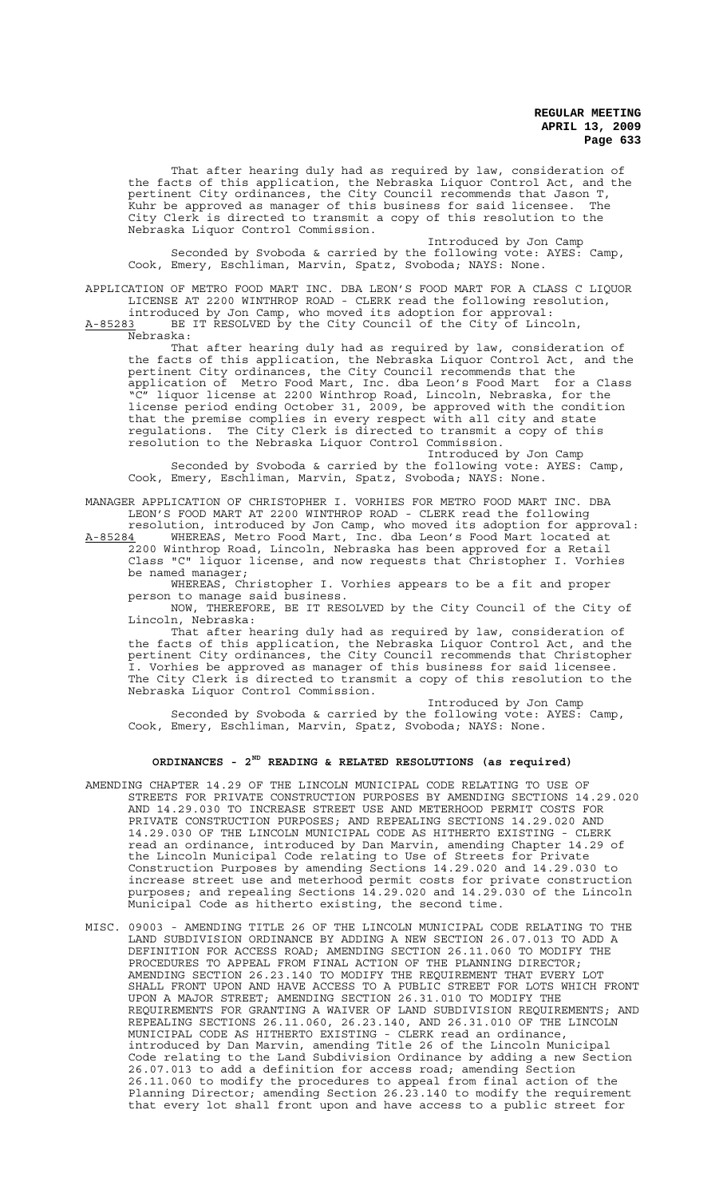That after hearing duly had as required by law, consideration of the facts of this application, the Nebraska Liquor Control Act, and the pertinent City ordinances, the City Council recommends that Jason T, Kuhr be approved as manager of this business for said licensee. The City Clerk is directed to transmit a copy of this resolution to the Nebraska Liquor Control Commission.

Introduced by Jon Camp Seconded by Svoboda & carried by the following vote: AYES: Camp, Cook, Emery, Eschliman, Marvin, Spatz, Svoboda; NAYS: None.

APPLICATION OF METRO FOOD MART INC. DBA LEON'S FOOD MART FOR A CLASS C LIQUOR LICENSE AT 2200 WINTHROP ROAD - CLERK read the following resolution, introduced by Jon Camp, who moved its adoption for approval: A-85283 BE IT RESOLVED by the City Council of the City of Lincoln,

Nebraska:

That after hearing duly had as required by law, consideration of the facts of this application, the Nebraska Liquor Control Act, and the pertinent City ordinances, the City Council recommends that the application of Metro Food Mart, Inc. dba Leon's Food Mart for a Class "C" liquor license at 2200 Winthrop Road, Lincoln, Nebraska, for the license period ending October 31, 2009, be approved with the condition that the premise complies in every respect with all city and state regulations. The City Clerk is directed to transmit a copy of this resolution to the Nebraska Liquor Control Commission.

Introduced by Jon Camp Seconded by Svoboda & carried by the following vote: AYES: Camp, Cook, Emery, Eschliman, Marvin, Spatz, Svoboda; NAYS: None.

MANAGER APPLICATION OF CHRISTOPHER I. VORHIES FOR METRO FOOD MART INC. DBA LEON'S FOOD MART AT 2200 WINTHROP ROAD - CLERK read the following

resolution, introduced by Jon Camp, who moved its adoption for approval: A-85284 WHEREAS, Metro Food Mart, Inc. dba Leon's Food Mart located at 2200 Winthrop Road, Lincoln, Nebraska has been approved for a Retail Class "C" liquor license, and now requests that Christopher I. Vorhies be named manager;

WHEREAS, Christopher I. Vorhies appears to be a fit and proper person to manage said business.

NOW, THEREFORE, BE IT RESOLVED by the City Council of the City of Lincoln, Nebraska:

That after hearing duly had as required by law, consideration of the facts of this application, the Nebraska Liquor Control Act, and the pertinent City ordinances, the City Council recommends that Christopher I. Vorhies be approved as manager of this business for said licensee. The City Clerk is directed to transmit a copy of this resolution to the Nebraska Liquor Control Commission.

Introduced by Jon Camp Seconded by Svoboda & carried by the following vote: AYES: Camp, Cook, Emery, Eschliman, Marvin, Spatz, Svoboda; NAYS: None.

# **ORDINANCES - 2ND READING & RELATED RESOLUTIONS (as required)**

- AMENDING CHAPTER 14.29 OF THE LINCOLN MUNICIPAL CODE RELATING TO USE OF STREETS FOR PRIVATE CONSTRUCTION PURPOSES BY AMENDING SECTIONS 14.29.020 AND 14.29.030 TO INCREASE STREET USE AND METERHOOD PERMIT COSTS FOR PRIVATE CONSTRUCTION PURPOSES; AND REPEALING SECTIONS 14.29.020 AND 14.29.030 OF THE LINCOLN MUNICIPAL CODE AS HITHERTO EXISTING - CLERK read an ordinance, introduced by Dan Marvin, amending Chapter 14.29 of the Lincoln Municipal Code relating to Use of Streets for Private Construction Purposes by amending Sections 14.29.020 and 14.29.030 to increase street use and meterhood permit costs for private construction purposes; and repealing Sections 14.29.020 and 14.29.030 of the Lincoln Municipal Code as hitherto existing, the second time.
- MISC. 09003 AMENDING TITLE 26 OF THE LINCOLN MUNICIPAL CODE RELATING TO THE LAND SUBDIVISION ORDINANCE BY ADDING A NEW SECTION 26.07.013 TO ADD A DEFINITION FOR ACCESS ROAD; AMENDING SECTION 26.11.060 TO MODIFY THE PROCEDURES TO APPEAL FROM FINAL ACTION OF THE PLANNING DIRECTOR; AMENDING SECTION 26.23.140 TO MODIFY THE REQUIREMENT THAT EVERY LOT SHALL FRONT UPON AND HAVE ACCESS TO A PUBLIC STREET FOR LOTS WHICH FRONT UPON A MAJOR STREET; AMENDING SECTION 26.31.010 TO MODIFY THE REQUIREMENTS FOR GRANTING A WAIVER OF LAND SUBDIVISION REQUIREMENTS; AND REPEALING SECTIONS 26.11.060, 26.23.140, AND 26.31.010 OF THE LINCOLN MUNICIPAL CODE AS HITHERTO EXISTING - CLERK read an ordinance, introduced by Dan Marvin, amending Title 26 of the Lincoln Municipal Code relating to the Land Subdivision Ordinance by adding a new Section 26.07.013 to add a definition for access road; amending Section 26.11.060 to modify the procedures to appeal from final action of the Planning Director; amending Section 26.23.140 to modify the requirement that every lot shall front upon and have access to a public street for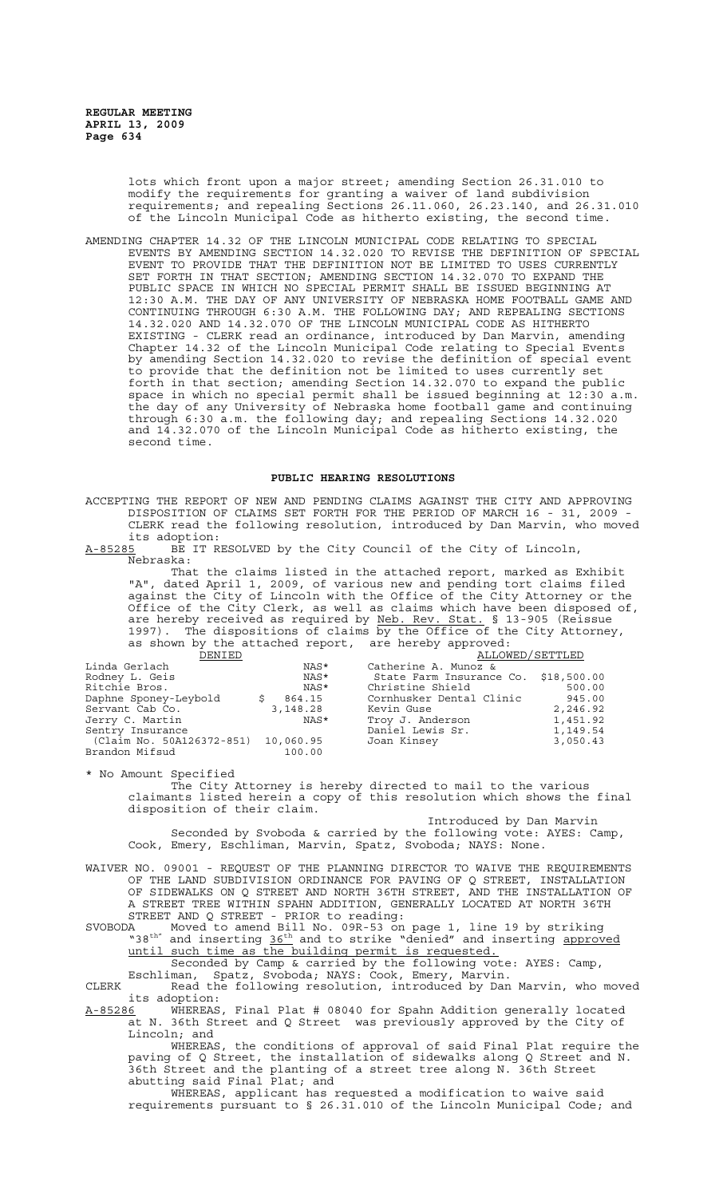lots which front upon a major street; amending Section 26.31.010 to modify the requirements for granting a waiver of land subdivision requirements; and repealing Sections 26.11.060, 26.23.140, and 26.31.010 of the Lincoln Municipal Code as hitherto existing, the second time.

AMENDING CHAPTER 14.32 OF THE LINCOLN MUNICIPAL CODE RELATING TO SPECIAL EVENTS BY AMENDING SECTION 14.32.020 TO REVISE THE DEFINITION OF SPECIAL EVENT TO PROVIDE THAT THE DEFINITION NOT BE LIMITED TO USES CURRENTLY SET FORTH IN THAT SECTION; AMENDING SECTION 14.32.070 TO EXPAND THE PUBLIC SPACE IN WHICH NO SPECIAL PERMIT SHALL BE ISSUED BEGINNING AT 12:30 A.M. THE DAY OF ANY UNIVERSITY OF NEBRASKA HOME FOOTBALL GAME AND CONTINUING THROUGH 6:30 A.M. THE FOLLOWING DAY; AND REPEALING SECTIONS 14.32.020 AND 14.32.070 OF THE LINCOLN MUNICIPAL CODE AS HITHERTO EXISTING - CLERK read an ordinance, introduced by Dan Marvin, amending Chapter 14.32 of the Lincoln Municipal Code relating to Special Events by amending Section 14.32.020 to revise the definition of special event to provide that the definition not be limited to uses currently set forth in that section; amending Section 14.32.070 to expand the public space in which no special permit shall be issued beginning at 12:30 a.m. the day of any University of Nebraska home football game and continuing through 6:30 a.m. the following day; and repealing Sections 14.32.020 and 14.32.070 of the Lincoln Municipal Code as hitherto existing, the second time.

#### **PUBLIC HEARING RESOLUTIONS**

ACCEPTING THE REPORT OF NEW AND PENDING CLAIMS AGAINST THE CITY AND APPROVING DISPOSITION OF CLAIMS SET FORTH FOR THE PERIOD OF MARCH 16 - 31, 2009 - CLERK read the following resolution, introduced by Dan Marvin, who moved its adoption:

A-85285 BE IT RESOLVED by the City Council of the City of Lincoln, Nebraska:

That the claims listed in the attached report, marked as Exhibit "A", dated April 1, 2009, of various new and pending tort claims filed against the City of Lincoln with the Office of the City Attorney or the Office of the City Clerk, as well as claims which have been disposed of, are hereby received as required by Neb. Rev. Stat. § 13-905 (Reissue 1997). The dispositions of claims by the Office of the City Attorney, as shown by the attached report, are hereby approved:

| DENIED                    |           | ALLOWED/SETTLED                      |          |
|---------------------------|-----------|--------------------------------------|----------|
| Linda Gerlach             | NAS*      | Catherine A. Munoz &                 |          |
| Rodney L. Geis            | NAS*      | State Farm Insurance Co. \$18,500.00 |          |
| Ritchie Bros.             | NAS*      | Christine Shield                     | 500.00   |
| Daphne Sponey-Leybold     | 864.15    | Cornhusker Dental Clinic             | 945.00   |
| Servant Cab Co.           | 3,148.28  | Kevin Guse                           | 2,246.92 |
| Jerry C. Martin           | NAS*      | Troy J. Anderson                     | 1,451.92 |
| Sentry Insurance          |           | Daniel Lewis Sr.                     | 1,149.54 |
| (Claim No. 50A126372-851) | 10,060.95 | Joan Kinsey                          | 3,050.43 |
| Brandon Mifsud            | 100.00    |                                      |          |

\* No Amount Specified The City Attorney is hereby directed to mail to the various claimants listed herein a copy of this resolution which shows the final disposition of their claim. Introduced by Dan Marvin

Seconded by Svoboda & carried by the following vote: AYES: Camp, Cook, Emery, Eschliman, Marvin, Spatz, Svoboda; NAYS: None.

WAIVER NO. 09001 - REQUEST OF THE PLANNING DIRECTOR TO WAIVE THE REQUIREMENTS OF THE LAND SUBDIVISION ORDINANCE FOR PAVING OF Q STREET, INSTALLATION OF SIDEWALKS ON Q STREET AND NORTH 36TH STREET, AND THE INSTALLATION OF A STREET TREE WITHIN SPAHN ADDITION, GENERALLY LOCATED AT NORTH 36TH STREET AND Q STREET - PRIOR to reading:

SVOBODA Moved to amend Bill No. 09R-53 on page 1, line 19 by striking "38<sup>th"</sup> and inserting 36<sup>th</sup> and to strike "denied" and inserting approved until such time as the building permit is requested.

Seconded by Camp & carried by the following vote: AYES: Camp, Eschliman, Spatz, Svoboda; NAYS: Cook, Emery, Marvin.

CLERK Read the following resolution, introduced by Dan Marvin, who moved its adoption:<br>A-85286 WHEREAS

WHEREAS, Final Plat # 08040 for Spahn Addition generally located at N. 36th Street and Q Street was previously approved by the City of Lincoln; and

WHEREAS, the conditions of approval of said Final Plat require the paving of Q Street, the installation of sidewalks along Q Street and N.<br>36th Street and the planting of a street tree along N. 36th Street 36th Street and the planting of a street tree along N. 36th Street abutting said Final Plat; and

WHEREAS, applicant has requested a modification to waive said requirements pursuant to § 26.31.010 of the Lincoln Municipal Code; and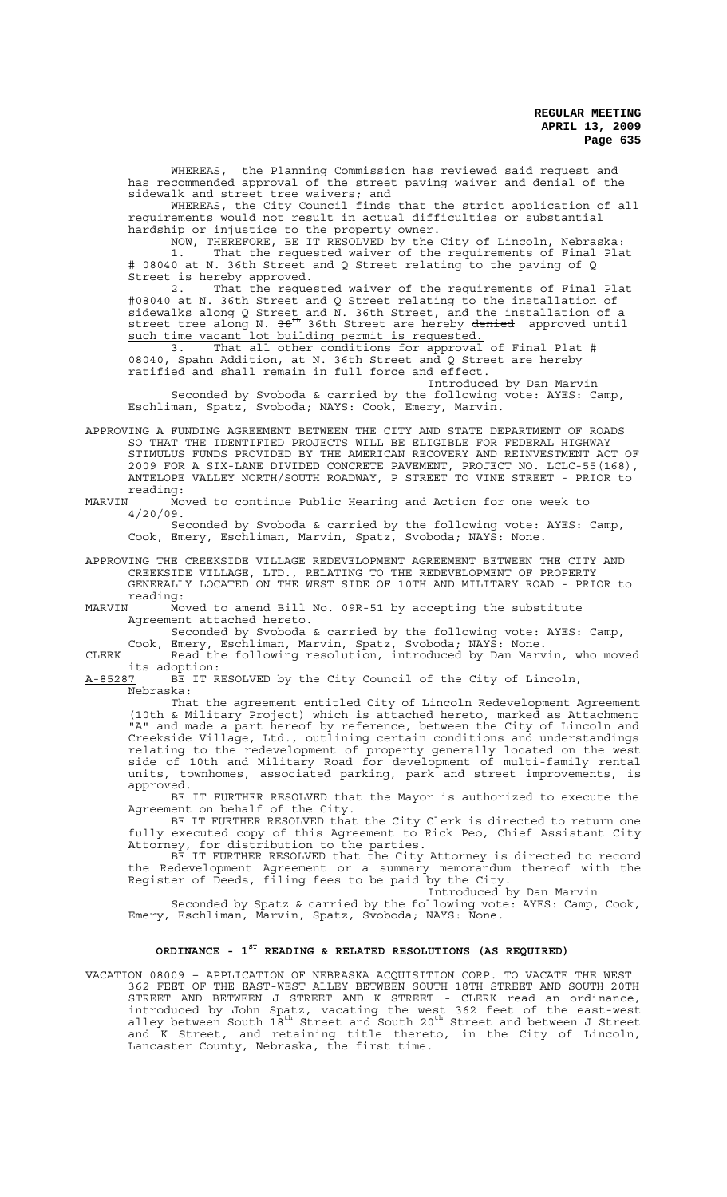WHEREAS, the Planning Commission has reviewed said request and has recommended approval of the street paving waiver and denial of the sidewalk and street tree waivers; and

WHEREAS, the City Council finds that the strict application of all requirements would not result in actual difficulties or substantial hardship or injustice to the property owner.

NOW, THEREFORE, BE IT RESOLVED by the City of Lincoln, Nebraska: 1. That the requested waiver of the requirements of Final Plat # 08040 at N. 36th Street and Q Street relating to the paving of Q Street is hereby approved.

2. That the requested waiver of the requirements of Final Plat #08040 at N. 36th Street and Q Street relating to the installation of sidewalks along Q Street and N. 36th Street, and the installation of a street tree along N. 38<sup>th</sup> 36th Street are hereby denied approved until such time vacant lot building permit is requested.

3. That all other conditions for approval of Final Plat # 08040, Spahn Addition, at N. 36th Street and Q Street are hereby 3. That all other conditions for approval of Final Plat 08040, Spahn Addition, at N. 36th Street and Q Street are hereby ratified and shall remain in full force and effect.

Introduced by Dan Marvin Seconded by Svoboda & carried by the following vote: AYES: Camp, Eschliman, Spatz, Svoboda; NAYS: Cook, Emery, Marvin.

APPROVING A FUNDING AGREEMENT BETWEEN THE CITY AND STATE DEPARTMENT OF ROADS SO THAT THE IDENTIFIED PROJECTS WILL BE ELIGIBLE FOR FEDERAL HIGHWAY STIMULUS FUNDS PROVIDED BY THE AMERICAN RECOVERY AND REINVESTMENT ACT OF 2009 FOR A SIX-LANE DIVIDED CONCRETE PAVEMENT, PROJECT NO. LCLC-55(168), ANTELOPE VALLEY NORTH/SOUTH ROADWAY, P STREET TO VINE STREET - PRIOR to reading:<br>MARVIN Mo

Moved to continue Public Hearing and Action for one week to 4/20/09.

Seconded by Svoboda & carried by the following vote: AYES: Camp, Cook, Emery, Eschliman, Marvin, Spatz, Svoboda; NAYS: None.

APPROVING THE CREEKSIDE VILLAGE REDEVELOPMENT AGREEMENT BETWEEN THE CITY AND CREEKSIDE VILLAGE, LTD., RELATING TO THE REDEVELOPMENT OF PROPERTY GENERALLY LOCATED ON THE WEST SIDE OF 10TH AND MILITARY ROAD - PRIOR to

reading:<br>MARVIN Mo Moved to amend Bill No. 09R-51 by accepting the substitute Agreement attached hereto.

Seconded by Svoboda & carried by the following vote: AYES: Camp,

Cook, Emery, Eschliman, Marvin, Spatz, Svoboda; NAYS: None. CLERK Read the following resolution, introduced by Dan Marvin, who moved

its adoption:<br><u>A-85287</u> BE IT R BE IT RESOLVED by the City Council of the City of Lincoln, Nebraska:

That the agreement entitled City of Lincoln Redevelopment Agreement (10th & Military Project) which is attached hereto, marked as Attachment "A" and made a part hereof by reference, between the City of Lincoln and Creekside Village, Ltd., outlining certain conditions and understandings relating to the redevelopment of property generally located on the west side of 10th and Military Road for development of multi-family rental units, townhomes, associated parking, park and street improvements, is approved.

BE IT FURTHER RESOLVED that the Mayor is authorized to execute the Agreement on behalf of the City.

BE IT FURTHER RESOLVED that the City Clerk is directed to return one fully executed copy of this Agreement to Rick Peo, Chief Assistant City Attorney, for distribution to the parties.

BE IT FURTHER RESOLVED that the City Attorney is directed to record the Redevelopment Agreement or a summary memorandum thereof with the Register of Deeds, filing fees to be paid by the City.

Introduced by Dan Marvin

Seconded by Spatz & carried by the following vote: AYES: Camp, Cook, Emery, Eschliman, Marvin, Spatz, Svoboda; NAYS: None.

# **ORDINANCE - 1ST READING & RELATED RESOLUTIONS (AS REQUIRED)**

VACATION 08009 – APPLICATION OF NEBRASKA ACQUISITION CORP. TO VACATE THE WEST 362 FEET OF THE EAST-WEST ALLEY BETWEEN SOUTH 18TH STREET AND SOUTH 20TH STREET AND BETWEEN J STREET AND K STREET - CLERK read an ordinance, introduced by John Spatz, vacating the west 362 feet of the east-west alley between South 18<sup>th</sup> Street and South 20<sup>th</sup> Street and between J Street and K Street, and retaining title thereto, in the City of Lincoln, Lancaster County, Nebraska, the first time.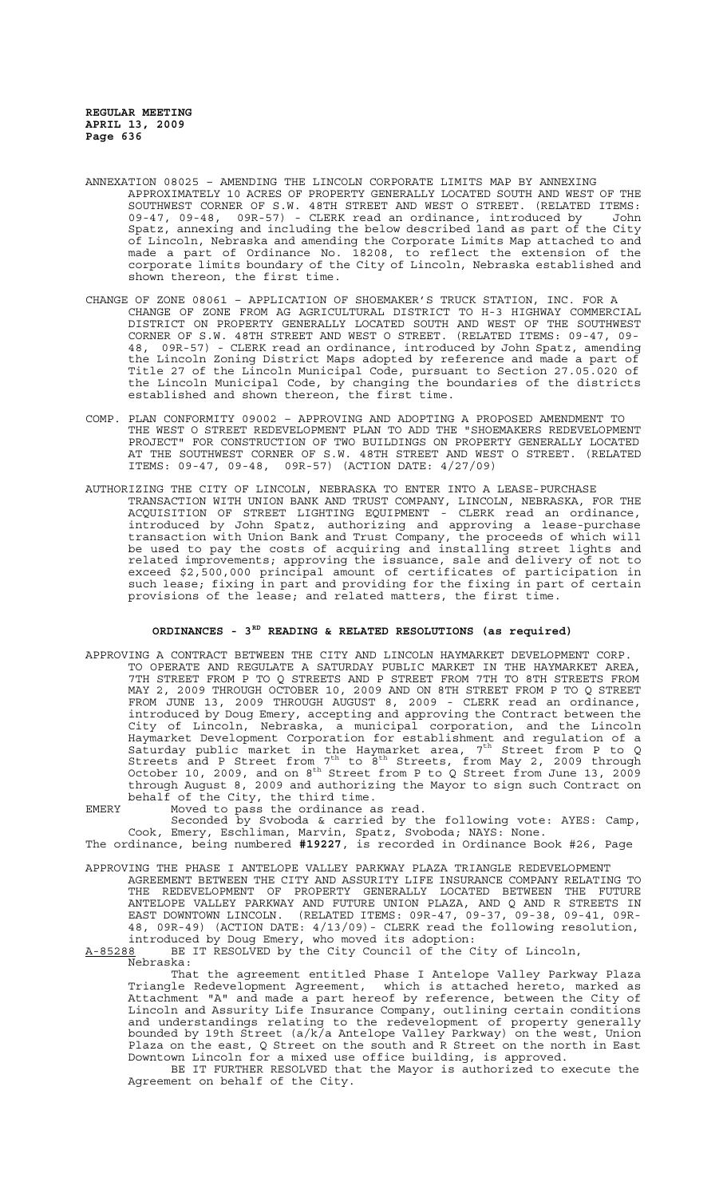- ANNEXATION 08025 AMENDING THE LINCOLN CORPORATE LIMITS MAP BY ANNEXING APPROXIMATELY 10 ACRES OF PROPERTY GENERALLY LOCATED SOUTH AND WEST OF THE SOUTHWEST CORNER OF S.W. 48TH STREET AND WEST O STREET. (RELATED ITEMS: 09-47, 09-48, 09R-57) - CLERK read an ordinance, introduced by John Spatz, annexing and including the below described land as part of the City of Lincoln, Nebraska and amending the Corporate Limits Map attached to and made a part of Ordinance No. 18208, to reflect the extension of the corporate limits boundary of the City of Lincoln, Nebraska established and shown thereon, the first time.
- CHANGE OF ZONE 08061 APPLICATION OF SHOEMAKER'S TRUCK STATION, INC. FOR A CHANGE OF ZONE FROM AG AGRICULTURAL DISTRICT TO H-3 HIGHWAY COMMERCIAL DISTRICT ON PROPERTY GENERALLY LOCATED SOUTH AND WEST OF THE SOUTHWEST CORNER OF S.W. 48TH STREET AND WEST O STREET. (RELATED ITEMS: 09-47, 09- 48, 09R-57) - CLERK read an ordinance, introduced by John Spatz, amending the Lincoln Zoning District Maps adopted by reference and made a part of Title 27 of the Lincoln Municipal Code, pursuant to Section 27.05.020 of the Lincoln Municipal Code, by changing the boundaries of the districts established and shown thereon, the first time.
- COMP. PLAN CONFORMITY 09002 APPROVING AND ADOPTING A PROPOSED AMENDMENT TO THE WEST O STREET REDEVELOPMENT PLAN TO ADD THE "SHOEMAKERS REDEVELOPMENT PROJECT" FOR CONSTRUCTION OF TWO BUILDINGS ON PROPERTY GENERALLY LOCATED AT THE SOUTHWEST CORNER OF S.W. 48TH STREET AND WEST O STREET. (RELATED ITEMS: 09-47, 09-48, 09R-57) (ACTION DATE: 4/27/09)
- AUTHORIZING THE CITY OF LINCOLN, NEBRASKA TO ENTER INTO A LEASE-PURCHASE TRANSACTION WITH UNION BANK AND TRUST COMPANY, LINCOLN, NEBRASKA, FOR THE ACQUISITION OF STREET LIGHTING EQUIPMENT - CLERK read an ordinance, introduced by John Spatz, authorizing and approving a lease-purchase transaction with Union Bank and Trust Company, the proceeds of which will be used to pay the costs of acquiring and installing street lights and related improvements; approving the issuance, sale and delivery of not to exceed \$2,500,000 principal amount of certificates of participation in such lease; fixing in part and providing for the fixing in part of certain provisions of the lease; and related matters, the first time.

## **ORDINANCES - 3RD READING & RELATED RESOLUTIONS (as required)**

APPROVING A CONTRACT BETWEEN THE CITY AND LINCOLN HAYMARKET DEVELOPMENT CORP. TO OPERATE AND REGULATE A SATURDAY PUBLIC MARKET IN THE HAYMARKET AREA, 7TH STREET FROM P TO Q STREETS AND P STREET FROM 7TH TO 8TH STREETS FROM MAY 2, 2009 THROUGH OCTOBER 10, 2009 AND ON 8TH STREET FROM P TO Q STREET FROM JUNE 13, 2009 THROUGH AUGUST 8, 2009 - CLERK read an ordinance, introduced by Doug Emery, accepting and approving the Contract between the City of Lincoln, Nebraska, a municipal corporation, and the Lincoln Haymarket Development Corporation for establishment and regulation of a Saturday public market in the Haymarket area, 7th Street from P to Q Streets and P Street from  $7<sup>th</sup>$  to  $8<sup>th</sup>$  Streets, from May 2, 2009 through October 10, 2009, and on  $8^{th}$  Street from P to Q Street from June 13, 2009 through August 8, 2009 and authorizing the Mayor to sign such Contract on behalf of the City, the third time.

EMERY Moved to pass the ordinance as read.

Seconded by Svoboda & carried by the following vote: AYES: Camp, Cook, Emery, Eschliman, Marvin, Spatz, Svoboda; NAYS: None. The ordinance, being numbered **#19227**, is recorded in Ordinance Book #26, Page

APPROVING THE PHASE I ANTELOPE VALLEY PARKWAY PLAZA TRIANGLE REDEVELOPMENT AGREEMENT BETWEEN THE CITY AND ASSURITY LIFE INSURANCE COMPANY RELATING TO THE REDEVELOPMENT OF PROPERTY GENERALLY LOCATED BETWEEN THE FUTURE ANTELOPE VALLEY PARKWAY AND FUTURE UNION PLAZA, AND Q AND R STREETS IN EAST DOWNTOWN LINCOLN. (RELATED ITEMS: 09R-47, 09-37, 09-38, 09-41, 09R-48, 09R-49) (ACTION DATE: 4/13/09)- CLERK read the following resolution, introduced by Doug Emery, who moved its adoption:

 $A-85288$  BE IT RESOLVED by the City Council of the City of Lincoln,

Nebraska:

That the agreement entitled Phase I Antelope Valley Parkway Plaza Triangle Redevelopment Agreement, which is attached hereto, marked as Attachment "A" and made a part hereof by reference, between the City of Lincoln and Assurity Life Insurance Company, outlining certain conditions and understandings relating to the redevelopment of property generally bounded by 19th Street (a/k/a Antelope Valley Parkway) on the west, Union Plaza on the east, Q Street on the south and R Street on the north in East Downtown Lincoln for a mixed use office building, is approved.

BE IT FURTHER RESOLVED that the Mayor is authorized to execute the Agreement on behalf of the City.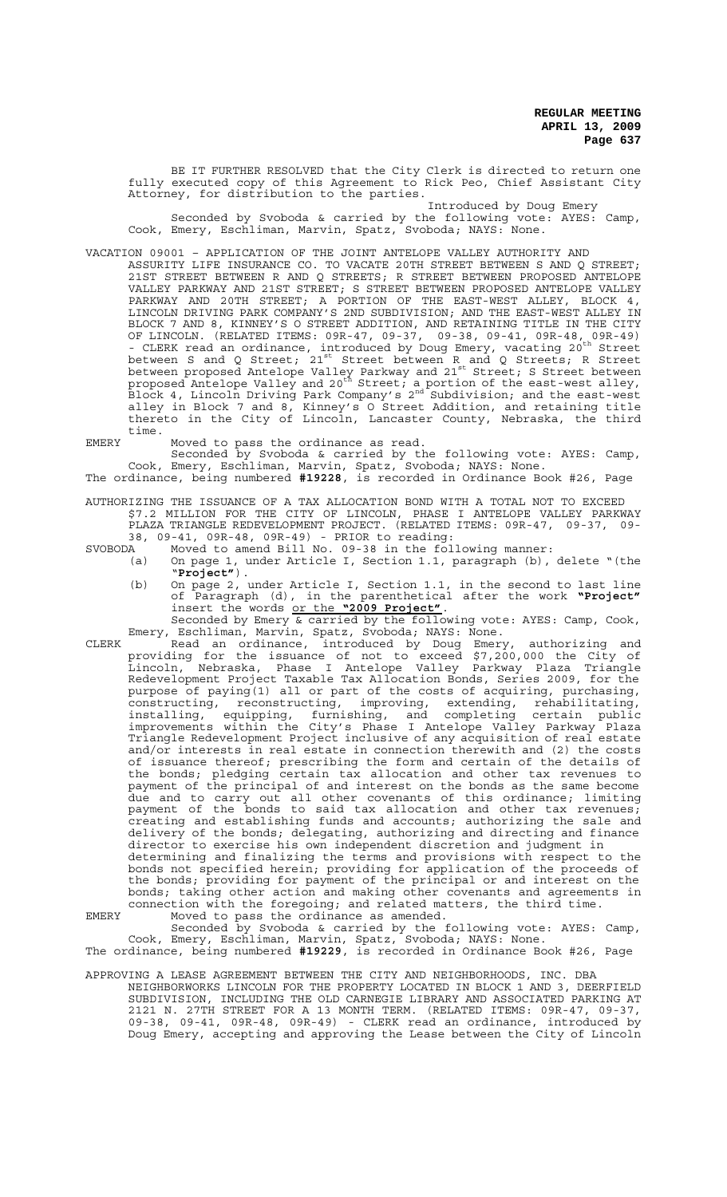BE IT FURTHER RESOLVED that the City Clerk is directed to return one fully executed copy of this Agreement to Rick Peo, Chief Assistant City Attorney, for distribution to the parties.

Introduced by Doug Emery Seconded by Svoboda & carried by the following vote: AYES: Camp, Cook, Emery, Eschliman, Marvin, Spatz, Svoboda; NAYS: None.

VACATION 09001 – APPLICATION OF THE JOINT ANTELOPE VALLEY AUTHORITY AND

ASSURITY LIFE INSURANCE CO. TO VACATE 20TH STREET BETWEEN S AND Q STREET; 21ST STREET BETWEEN R AND Q STREETS; R STREET BETWEEN PROPOSED ANTELOPE VALLEY PARKWAY AND 21ST STREET; S STREET BETWEEN PROPOSED ANTELOPE VALLEY PARKWAY AND 20TH STREET; A PORTION OF THE EAST-WEST ALLEY, BLOCK 4, LINCOLN DRIVING PARK COMPANY'S 2ND SUBDIVISION; AND THE EAST-WEST ALLEY IN BLOCK 7 AND 8, KINNEY'S O STREET ADDITION, AND RETAINING TITLE IN THE CITY OF LINCOLN. (RELATED ITEMS: 09R-47, 09-37, 09-38, 09-41, 09R-48, 09R-49) - CLERK read an ordinance, introduced by Doug Emery, vacating 20<sup>th</sup> Street between S and Q Street; 21<sup>st</sup> Street between R and Q Streets; R Street between proposed Antelope Valley Parkway and 21st Street; S Street between proposed Antelope Valley and 20<sup>th</sup> Street, a portion of the east-west alley, Linck 4, Lincoln Driving Park Company's 2<sup>nd</sup> Subdivision; and the east-west alley in Block 7 and 8, Kinney's O Street Addition, and retaining title thereto in the City of Lincoln, Lancaster County, Nebraska, the third time.

EMERY Moved to pass the ordinance as read.

Seconded by Svoboda & carried by the following vote: AYES: Camp, Cook, Emery, Eschliman, Marvin, Spatz, Svoboda; NAYS: None.

The ordinance, being numbered **#19228**, is recorded in Ordinance Book #26, Page

AUTHORIZING THE ISSUANCE OF A TAX ALLOCATION BOND WITH A TOTAL NOT TO EXCEED \$7.2 MILLION FOR THE CITY OF LINCOLN, PHASE I ANTELOPE VALLEY PARKWAY PLAZA TRIANGLE REDEVELOPMENT PROJECT. (RELATED ITEMS: 09R-47, 09-37, 09-

38, 09-41, 09R-48, 09R-49) - PRIOR to reading:

SVOBODA Moved to amend Bill No. 09-38 in the following manner:<br>(a) On page 1, under Article I, Section 1.1, paragraph (b),

- (a) On page 1, under Article I, Section 1.1, paragraph (b), delete "(the "**Project"**).
	- (b) On page 2, under Article I, Section 1.1, in the second to last line of Paragraph (d), in the parenthetical after the work **"Project"** insert the words or the **"2009 Project"**.

Seconded by Emery & carried by the following vote: AYES: Camp, Cook, Emery, Eschliman, Marvin, Spatz, Svoboda; NAYS: None.

CLERK Read an ordinance, introduced by Doug Emery, authorizing and providing for the issuance of not to exceed \$7,200,000 the City of Lincoln, Nebraska, Phase I Antelope Valley Parkway Plaza Triangle Redevelopment Project Taxable Tax Allocation Bonds, Series 2009, for the purpose of paying(1) all or part of the costs of acquiring, purchasing, constructing, reconstructing, improving, extending, rehabilitating, installing, equipping, furnishing, and completing certain public improvements within the City's Phase I Antelope Valley Parkway Plaza Triangle Redevelopment Project inclusive of any acquisition of real estate and/or interests in real estate in connection therewith and (2) the costs of issuance thereof; prescribing the form and certain of the details of the bonds; pledging certain tax allocation and other tax revenues to payment of the principal of and interest on the bonds as the same become due and to carry out all other covenants of this ordinance; limiting payment of the bonds to said tax allocation and other tax revenues; creating and establishing funds and accounts; authorizing the sale and delivery of the bonds; delegating, authorizing and directing and finance director to exercise his own independent discretion and judgment in determining and finalizing the terms and provisions with respect to the bonds not specified herein; providing for application of the proceeds of the bonds; providing for payment of the principal or and interest on the bonds; taking other action and making other covenants and agreements in connection with the foregoing; and related matters, the third time. EMERY Moved to pass the ordinance as amended.

Seconded by Svoboda & carried by the following vote: AYES: Camp, Cook, Emery, Eschliman, Marvin, Spatz, Svoboda; NAYS: None. The ordinance, being numbered **#19229**, is recorded in Ordinance Book #26, Page

APPROVING A LEASE AGREEMENT BETWEEN THE CITY AND NEIGHBORHOODS, INC. DBA NEIGHBORWORKS LINCOLN FOR THE PROPERTY LOCATED IN BLOCK 1 AND 3, DEERFIELD SUBDIVISION, INCLUDING THE OLD CARNEGIE LIBRARY AND ASSOCIATED PARKING AT 2121 N. 27TH STREET FOR A 13 MONTH TERM. (RELATED ITEMS: 09R-47, 09-37, 09-38, 09-41, 09R-48, 09R-49) - CLERK read an ordinance, introduced by Doug Emery, accepting and approving the Lease between the City of Lincoln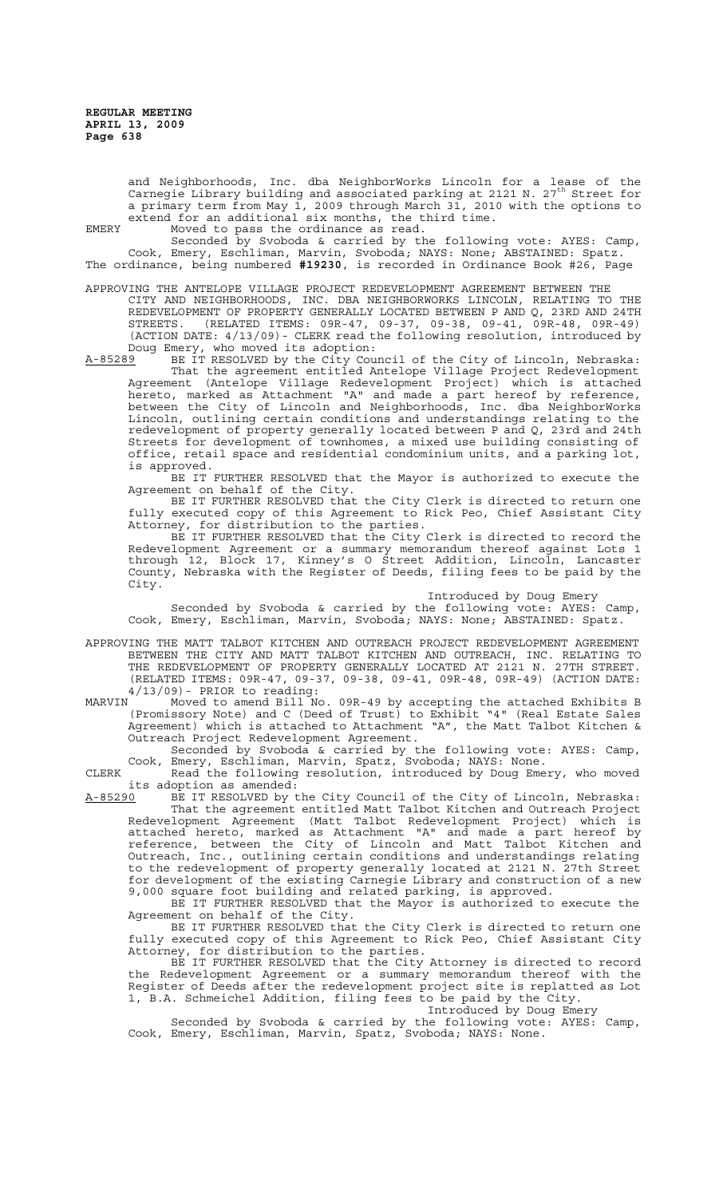and Neighborhoods, Inc. dba NeighborWorks Lincoln for a lease of the Carnegie Library building and associated parking at 2121 N. 27<sup>th</sup> Street for a primary term from May 1, 2009 through March 31, 2010 with the options to extend for an additional six months, the third time.

EMERY Moved to pass the ordinance as read. Seconded by Svoboda & carried by the following vote: AYES: Camp, Cook, Emery, Eschliman, Marvin, Svoboda; NAYS: None; ABSTAINED: Spatz. The ordinance, being numbered **#19230**, is recorded in Ordinance Book #26, Page

APPROVING THE ANTELOPE VILLAGE PROJECT REDEVELOPMENT AGREEMENT BETWEEN THE CITY AND NEIGHBORHOODS, INC. DBA NEIGHBORWORKS LINCOLN, RELATING TO THE REDEVELOPMENT OF PROPERTY GENERALLY LOCATED BETWEEN P AND Q, 23RD AND 24TH STREETS. (RELATED ITEMS: 09R-47, 09-37, 09-38, 09-41, 09R-48, 09R-49) (ACTION DATE: 4/13/09)- CLERK read the following resolution, introduced by Doug Emery, who moved its adoption:<br>A-85289 BE IT RESOLVED by the City Cour

A-85289 BE IT RESOLVED by the City Council of the City of Lincoln, Nebraska: That the agreement entitled Antelope Village Project Redevelopment Agreement (Antelope Village Redevelopment Project) which is attached hereto, marked as Attachment "A" and made a part hereof by reference, between the City of Lincoln and Neighborhoods, Inc. dba NeighborWorks Lincoln, outlining certain conditions and understandings relating to the redevelopment of property generally located between P and Q, 23rd and 24th Streets for development of townhomes, a mixed use building consisting of office, retail space and residential condominium units, and a parking lot, is approved.

BE IT FURTHER RESOLVED that the Mayor is authorized to execute the Agreement on behalf of the City.

BE IT FURTHER RESOLVED that the City Clerk is directed to return one fully executed copy of this Agreement to Rick Peo, Chief Assistant City Attorney, for distribution to the parties.

BE IT FURTHER RESOLVED that the City Clerk is directed to record the Redevelopment Agreement or a summary memorandum thereof against Lots 1 through 12, Block 17, Kinney's O Street Addition, Lincoln, Lancaster County, Nebraska with the Register of Deeds, filing fees to be paid by the City.

Introduced by Doug Emery

Seconded by Svoboda & carried by the following vote: AYES: Camp, Cook, Emery, Eschliman, Marvin, Svoboda; NAYS: None; ABSTAINED: Spatz.

APPROVING THE MATT TALBOT KITCHEN AND OUTREACH PROJECT REDEVELOPMENT AGREEMENT BETWEEN THE CITY AND MATT TALBOT KITCHEN AND OUTREACH, INC. RELATING TO THE REDEVELOPMENT OF PROPERTY GENERALLY LOCATED AT 2121 N. 27TH STREET. (RELATED ITEMS: 09R-47, 09-37, 09-38, 09-41, 09R-48, 09R-49) (ACTION DATE:  $\frac{4}{13/09}$ ) - PRIOR to reading:<br>MARVIN Moved to amend Bill No

MARVIN Moved to amend Bill No. 09R-49 by accepting the attached Exhibits B (Promissory Note) and C (Deed of Trust) to Exhibit "4" (Real Estate Sales Agreement) which is attached to Attachment "A", the Matt Talbot Kitchen & Outreach Project Redevelopment Agreement.

Seconded by Svoboda & carried by the following vote: AYES: Camp, Cook, Emery, Eschliman, Marvin, Spatz, Svoboda; NAYS: None.

CLERK Read the following resolution, introduced by Doug Emery, who moved its adoption as amended:<br>A-85290 BE IT RESOLVED by t

BE IT RESOLVED by the City Council of the City of Lincoln, Nebraska: That the agreement entitled Matt Talbot Kitchen and Outreach Project Redevelopment Agreement (Matt Talbot Redevelopment Project) which is attached hereto, marked as Attachment "A" and made a part hereof by reference, between the City of Lincoln and Matt Talbot Kitchen and Outreach, Inc., outlining certain conditions and understandings relating to the redevelopment of property generally located at 2121 N. 27th Street for development of the existing Carnegie Library and construction of a new 9,000 square foot building and related parking, is approved.

BE IT FURTHER RESOLVED that the Mayor is authorized to execute the Agreement on behalf of the City.

BE IT FURTHER RESOLVED that the City Clerk is directed to return one fully executed copy of this Agreement to Rick Peo, Chief Assistant City Attorney, for distribution to the parties.

BE IT FURTHER RESOLVED that the City Attorney is directed to record the Redevelopment Agreement or a summary memorandum thereof with the Register of Deeds after the redevelopment project site is replatted as Lot 1, B.A. Schmeichel Addition, filing fees to be paid by the City.

Introduced by Doug Emery

Seconded by Svoboda & carried by the following vote: AYES: Camp, Cook, Emery, Eschliman, Marvin, Spatz, Svoboda; NAYS: None.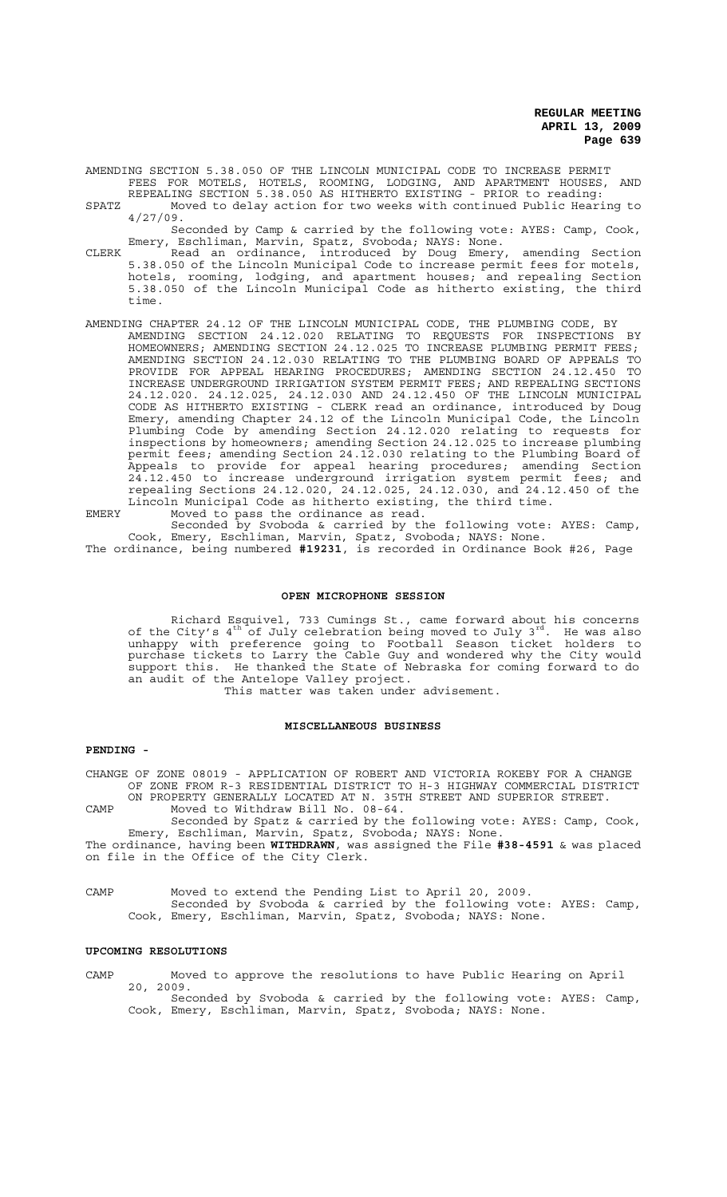AMENDING SECTION 5.38.050 OF THE LINCOLN MUNICIPAL CODE TO INCREASE PERMIT FEES FOR MOTELS, HOTELS, ROOMING, LODGING, AND APARTMENT HOUSES, AND REPEALING SECTION 5.38.050 AS HITHERTO EXISTING - PRIOR to reading:

SPATZ Moved to delay action for two weeks with continued Public Hearing to 4/27/09.

Seconded by Camp & carried by the following vote: AYES: Camp, Cook, Emery, Eschliman, Marvin, Spatz, Svoboda; NAYS: None.

- CLERK Read an ordinance, introduced by Doug Emery, amending Section 5.38.050 of the Lincoln Municipal Code to increase permit fees for motels, hotels, rooming, lodging, and apartment houses; and repealing Section 5.38.050 of the Lincoln Municipal Code as hitherto existing, the third time.
- AMENDING CHAPTER 24.12 OF THE LINCOLN MUNICIPAL CODE, THE PLUMBING CODE, BY AMENDING SECTION 24.12.020 RELATING TO REQUESTS FOR INSPECTIONS BY HOMEOWNERS; AMENDING SECTION 24.12.025 TO INCREASE PLUMBING PERMIT FEES; AMENDING SECTION 24.12.030 RELATING TO THE PLUMBING BOARD OF APPEALS TO PROVIDE FOR APPEAL HEARING PROCEDURES; AMENDING SECTION 24.12.450 TO INCREASE UNDERGROUND IRRIGATION SYSTEM PERMIT FEES; AND REPEALING SECTIONS 24.12.020. 24.12.025, 24.12.030 AND 24.12.450 OF THE LINCOLN MUNICIPAL CODE AS HITHERTO EXISTING - CLERK read an ordinance, introduced by Doug Emery, amending Chapter 24.12 of the Lincoln Municipal Code, the Lincoln Plumbing Code by amending Section 24.12.020 relating to requests for inspections by homeowners; amending Section 24.12.025 to increase plumbing permit fees; amending Section 24.12.030 relating to the Plumbing Board of Appeals to provide for appeal hearing procedures; amending Section 24.12.450 to increase underground irrigation system permit fees; and repealing Sections 24.12.020, 24.12.025, 24.12.030, and 24.12.450 of the Lincoln Municipal Code as hitherto existing, the third time. EMERY Moved to pass the ordinance as read.

Seconded by Svoboda & carried by the following vote: AYES: Camp, Cook, Emery, Eschliman, Marvin, Spatz, Svoboda; NAYS: None.

# The ordinance, being numbered **#19231**, is recorded in Ordinance Book #26, Page

#### **OPEN MICROPHONE SESSION**

Richard Esquivel, 733 Cumings St., came forward about his concerns of the City's  $4^{\text{th}}$  of July celebration being moved to July 3<sup>rd</sup>. He was also unhappy with preference going to Football Season ticket holders to purchase tickets to Larry the Cable Guy and wondered why the City would support this. He thanked the State of Nebraska for coming forward to do an audit of the Antelope Valley project.

This matter was taken under advisement.

#### **MISCELLANEOUS BUSINESS**

#### **PENDING -**

CHANGE OF ZONE 08019 - APPLICATION OF ROBERT AND VICTORIA ROKEBY FOR A CHANGE OF ZONE FROM R-3 RESIDENTIAL DISTRICT TO H-3 HIGHWAY COMMERCIAL DISTRICT ON PROPERTY GENERALLY LOCATED AT N. 35TH STREET AND SUPERIOR STREET.

CAMP Moved to Withdraw Bill No. 08-64.

Seconded by Spatz & carried by the following vote: AYES: Camp, Cook, Emery, Eschliman, Marvin, Spatz, Svoboda; NAYS: None.

The ordinance, having been **WITHDRAWN**, was assigned the File **#38-4591** & was placed on file in the Office of the City Clerk.

CAMP Moved to extend the Pending List to April 20, 2009. Seconded by Svoboda & carried by the following vote: AYES: Camp, Cook, Emery, Eschliman, Marvin, Spatz, Svoboda; NAYS: None.

# **UPCOMING RESOLUTIONS**

CAMP Moved to approve the resolutions to have Public Hearing on April 20, 2009.

Seconded by Svoboda & carried by the following vote: AYES: Camp, Cook, Emery, Eschliman, Marvin, Spatz, Svoboda; NAYS: None.